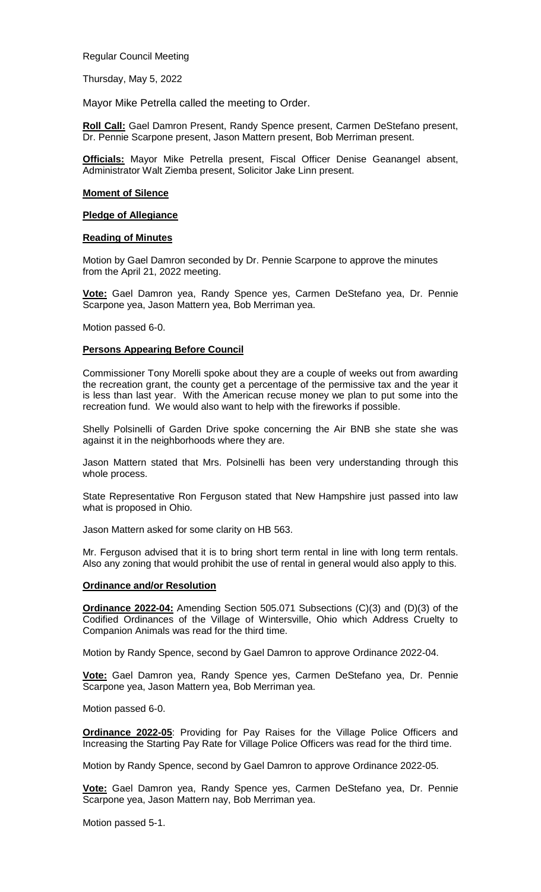Regular Council Meeting

Thursday, May 5, 2022

Mayor Mike Petrella called the meeting to Order.

**Roll Call:** Gael Damron Present, Randy Spence present, Carmen DeStefano present, Dr. Pennie Scarpone present, Jason Mattern present, Bob Merriman present.

**Officials:** Mayor Mike Petrella present, Fiscal Officer Denise Geanangel absent, Administrator Walt Ziemba present, Solicitor Jake Linn present.

#### **Moment of Silence**

### **Pledge of Allegiance**

#### **Reading of Minutes**

Motion by Gael Damron seconded by Dr. Pennie Scarpone to approve the minutes from the April 21, 2022 meeting.

**Vote:** Gael Damron yea, Randy Spence yes, Carmen DeStefano yea, Dr. Pennie Scarpone yea, Jason Mattern yea, Bob Merriman yea.

Motion passed 6-0.

# **Persons Appearing Before Council**

Commissioner Tony Morelli spoke about they are a couple of weeks out from awarding the recreation grant, the county get a percentage of the permissive tax and the year it is less than last year. With the American recuse money we plan to put some into the recreation fund. We would also want to help with the fireworks if possible.

Shelly Polsinelli of Garden Drive spoke concerning the Air BNB she state she was against it in the neighborhoods where they are.

Jason Mattern stated that Mrs. Polsinelli has been very understanding through this whole process.

State Representative Ron Ferguson stated that New Hampshire just passed into law what is proposed in Ohio.

Jason Mattern asked for some clarity on HB 563.

Mr. Ferguson advised that it is to bring short term rental in line with long term rentals. Also any zoning that would prohibit the use of rental in general would also apply to this.

#### **Ordinance and/or Resolution**

**Ordinance 2022-04:** Amending Section 505.071 Subsections (C)(3) and (D)(3) of the Codified Ordinances of the Village of Wintersville, Ohio which Address Cruelty to Companion Animals was read for the third time.

Motion by Randy Spence, second by Gael Damron to approve Ordinance 2022-04.

**Vote:** Gael Damron yea, Randy Spence yes, Carmen DeStefano yea, Dr. Pennie Scarpone yea, Jason Mattern yea, Bob Merriman yea.

Motion passed 6-0.

**Ordinance 2022-05:** Providing for Pay Raises for the Village Police Officers and Increasing the Starting Pay Rate for Village Police Officers was read for the third time.

Motion by Randy Spence, second by Gael Damron to approve Ordinance 2022-05.

**Vote:** Gael Damron yea, Randy Spence yes, Carmen DeStefano yea, Dr. Pennie Scarpone yea, Jason Mattern nay, Bob Merriman yea.

Motion passed 5-1.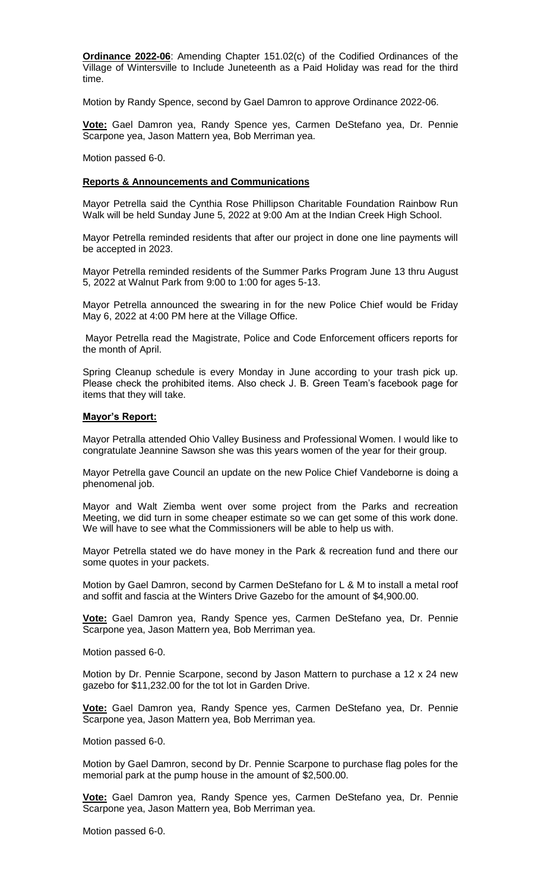**Ordinance 2022-06**: Amending Chapter 151.02(c) of the Codified Ordinances of the Village of Wintersville to Include Juneteenth as a Paid Holiday was read for the third time.

Motion by Randy Spence, second by Gael Damron to approve Ordinance 2022-06.

**Vote:** Gael Damron yea, Randy Spence yes, Carmen DeStefano yea, Dr. Pennie Scarpone yea, Jason Mattern yea, Bob Merriman yea.

Motion passed 6-0.

### **Reports & Announcements and Communications**

Mayor Petrella said the Cynthia Rose Phillipson Charitable Foundation Rainbow Run Walk will be held Sunday June 5, 2022 at 9:00 Am at the Indian Creek High School.

Mayor Petrella reminded residents that after our project in done one line payments will be accepted in 2023.

Mayor Petrella reminded residents of the Summer Parks Program June 13 thru August 5, 2022 at Walnut Park from 9:00 to 1:00 for ages 5-13.

Mayor Petrella announced the swearing in for the new Police Chief would be Friday May 6, 2022 at 4:00 PM here at the Village Office.

Mayor Petrella read the Magistrate, Police and Code Enforcement officers reports for the month of April.

Spring Cleanup schedule is every Monday in June according to your trash pick up. Please check the prohibited items. Also check J. B. Green Team's facebook page for items that they will take.

#### **Mayor's Report:**

Mayor Petralla attended Ohio Valley Business and Professional Women. I would like to congratulate Jeannine Sawson she was this years women of the year for their group.

Mayor Petrella gave Council an update on the new Police Chief Vandeborne is doing a phenomenal job.

Mayor and Walt Ziemba went over some project from the Parks and recreation Meeting, we did turn in some cheaper estimate so we can get some of this work done. We will have to see what the Commissioners will be able to help us with.

Mayor Petrella stated we do have money in the Park & recreation fund and there our some quotes in your packets.

Motion by Gael Damron, second by Carmen DeStefano for L & M to install a metal roof and soffit and fascia at the Winters Drive Gazebo for the amount of \$4,900.00.

**Vote:** Gael Damron yea, Randy Spence yes, Carmen DeStefano yea, Dr. Pennie Scarpone yea, Jason Mattern yea, Bob Merriman yea.

Motion passed 6-0.

Motion by Dr. Pennie Scarpone, second by Jason Mattern to purchase a 12 x 24 new gazebo for \$11,232.00 for the tot lot in Garden Drive.

**Vote:** Gael Damron yea, Randy Spence yes, Carmen DeStefano yea, Dr. Pennie Scarpone yea, Jason Mattern yea, Bob Merriman yea.

Motion passed 6-0.

Motion by Gael Damron, second by Dr. Pennie Scarpone to purchase flag poles for the memorial park at the pump house in the amount of \$2,500.00.

**Vote:** Gael Damron yea, Randy Spence yes, Carmen DeStefano yea, Dr. Pennie Scarpone yea, Jason Mattern yea, Bob Merriman yea.

Motion passed 6-0.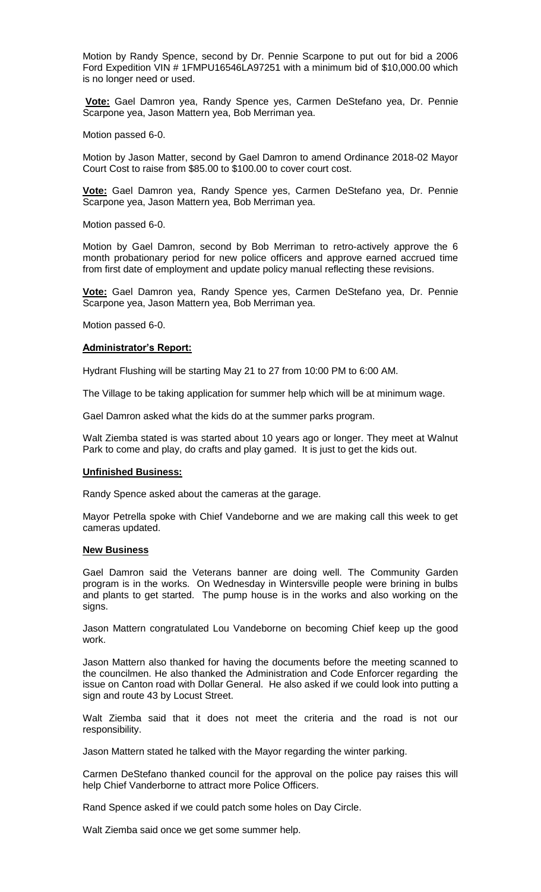Motion by Randy Spence, second by Dr. Pennie Scarpone to put out for bid a 2006 Ford Expedition VIN # 1FMPU16546LA97251 with a minimum bid of \$10,000.00 which is no longer need or used.

**Vote:** Gael Damron yea, Randy Spence yes, Carmen DeStefano yea, Dr. Pennie Scarpone yea, Jason Mattern yea, Bob Merriman yea.

Motion passed 6-0.

Motion by Jason Matter, second by Gael Damron to amend Ordinance 2018-02 Mayor Court Cost to raise from \$85.00 to \$100.00 to cover court cost.

**Vote:** Gael Damron yea, Randy Spence yes, Carmen DeStefano yea, Dr. Pennie Scarpone yea, Jason Mattern yea, Bob Merriman yea.

Motion passed 6-0.

Motion by Gael Damron, second by Bob Merriman to retro-actively approve the 6 month probationary period for new police officers and approve earned accrued time from first date of employment and update policy manual reflecting these revisions.

**Vote:** Gael Damron yea, Randy Spence yes, Carmen DeStefano yea, Dr. Pennie Scarpone yea, Jason Mattern yea, Bob Merriman yea.

Motion passed 6-0.

# **Administrator's Report:**

Hydrant Flushing will be starting May 21 to 27 from 10:00 PM to 6:00 AM.

The Village to be taking application for summer help which will be at minimum wage.

Gael Damron asked what the kids do at the summer parks program.

Walt Ziemba stated is was started about 10 years ago or longer. They meet at Walnut Park to come and play, do crafts and play gamed. It is just to get the kids out.

# **Unfinished Business:**

Randy Spence asked about the cameras at the garage.

Mayor Petrella spoke with Chief Vandeborne and we are making call this week to get cameras updated.

#### **New Business**

Gael Damron said the Veterans banner are doing well. The Community Garden program is in the works. On Wednesday in Wintersville people were brining in bulbs and plants to get started. The pump house is in the works and also working on the signs.

Jason Mattern congratulated Lou Vandeborne on becoming Chief keep up the good work.

Jason Mattern also thanked for having the documents before the meeting scanned to the councilmen. He also thanked the Administration and Code Enforcer regarding the issue on Canton road with Dollar General. He also asked if we could look into putting a sign and route 43 by Locust Street.

Walt Ziemba said that it does not meet the criteria and the road is not our responsibility.

Jason Mattern stated he talked with the Mayor regarding the winter parking.

Carmen DeStefano thanked council for the approval on the police pay raises this will help Chief Vanderborne to attract more Police Officers.

Rand Spence asked if we could patch some holes on Day Circle.

Walt Ziemba said once we get some summer help.